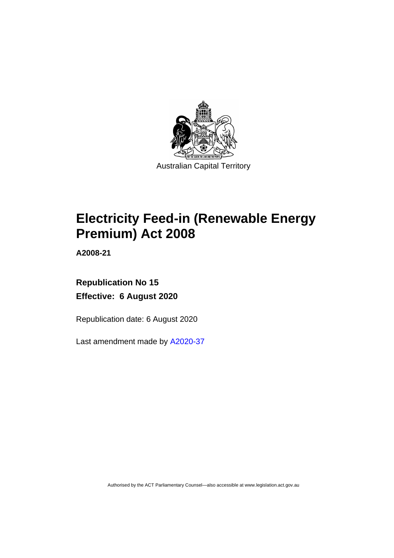

# **Electricity Feed-in (Renewable Energy Premium) Act 2008**

**A2008-21**

# **Republication No 15 Effective: 6 August 2020**

Republication date: 6 August 2020

Last amendment made by [A2020-37](http://www.legislation.act.gov.au/a/2020-37/)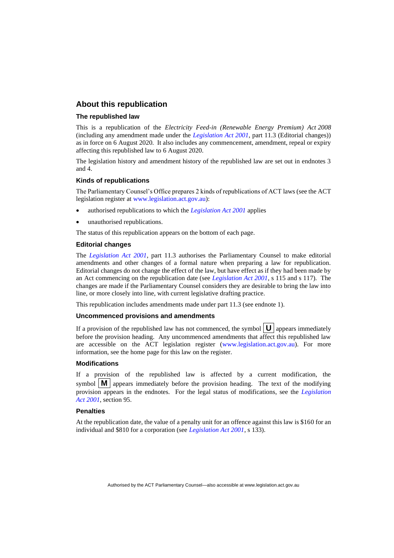# **About this republication**

#### **The republished law**

This is a republication of the *Electricity Feed-in (Renewable Energy Premium) Act 2008* (including any amendment made under the *[Legislation Act 2001](http://www.legislation.act.gov.au/a/2001-14)*, part 11.3 (Editorial changes)) as in force on 6 August 2020*.* It also includes any commencement, amendment, repeal or expiry affecting this republished law to 6 August 2020.

The legislation history and amendment history of the republished law are set out in endnotes 3 and 4.

#### **Kinds of republications**

The Parliamentary Counsel's Office prepares 2 kinds of republications of ACT laws (see the ACT legislation register at [www.legislation.act.gov.au\)](http://www.legislation.act.gov.au/):

- authorised republications to which the *[Legislation Act 2001](http://www.legislation.act.gov.au/a/2001-14)* applies
- unauthorised republications.

The status of this republication appears on the bottom of each page.

#### **Editorial changes**

The *[Legislation Act 2001](http://www.legislation.act.gov.au/a/2001-14)*, part 11.3 authorises the Parliamentary Counsel to make editorial amendments and other changes of a formal nature when preparing a law for republication. Editorial changes do not change the effect of the law, but have effect as if they had been made by an Act commencing on the republication date (see *[Legislation Act 2001](http://www.legislation.act.gov.au/a/2001-14)*, s 115 and s 117). The changes are made if the Parliamentary Counsel considers they are desirable to bring the law into line, or more closely into line, with current legislative drafting practice.

This republication includes amendments made under part 11.3 (see endnote 1).

#### **Uncommenced provisions and amendments**

If a provision of the republished law has not commenced, the symbol  $\mathbf{U}$  appears immediately before the provision heading. Any uncommenced amendments that affect this republished law are accessible on the ACT legislation register [\(www.legislation.act.gov.au\)](http://www.legislation.act.gov.au/). For more information, see the home page for this law on the register.

#### **Modifications**

If a provision of the republished law is affected by a current modification, the symbol  $\mathbf{M}$  appears immediately before the provision heading. The text of the modifying provision appears in the endnotes. For the legal status of modifications, see the *[Legislation](http://www.legislation.act.gov.au/a/2001-14)  Act [2001](http://www.legislation.act.gov.au/a/2001-14)*, section 95.

#### **Penalties**

At the republication date, the value of a penalty unit for an offence against this law is \$160 for an individual and \$810 for a corporation (see *[Legislation Act 2001](http://www.legislation.act.gov.au/a/2001-14)*, s 133).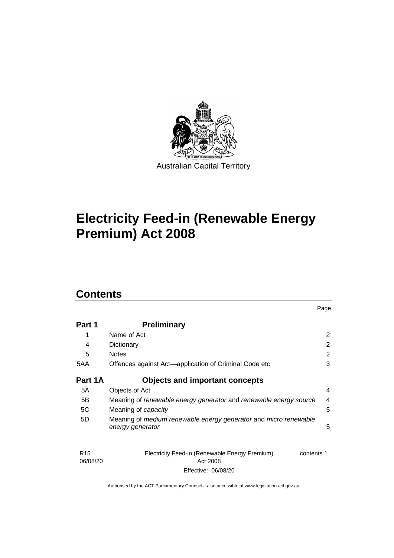

# **Electricity Feed-in (Renewable Energy Premium) Act 2008**

# **Contents**

| Part 1  | <b>Preliminary</b>                                                |   |
|---------|-------------------------------------------------------------------|---|
|         | Name of Act                                                       | 2 |
| 4       | Dictionary                                                        | 2 |
| 5       | <b>Notes</b>                                                      | 2 |
| 5AA     | Offences against Act—application of Criminal Code etc             | 3 |
| Part 1A | <b>Objects and important concepts</b>                             |   |
| 5A      | Objects of Act                                                    | 4 |
| 5B      | Meaning of renewable energy generator and renewable energy source | 4 |
| 5C      | Meaning of capacity                                               | 5 |
| 5D      | Meaning of medium renewable energy generator and micro renewable  |   |
|         | energy generator                                                  | 5 |
|         |                                                                   |   |
|         |                                                                   |   |

Page

| R <sub>15</sub> | Electricity Feed-in (Renewable Energy Premium) | contents 1 |
|-----------------|------------------------------------------------|------------|
| 06/08/20        |                                                |            |
|                 | Effective: 06/08/20                            |            |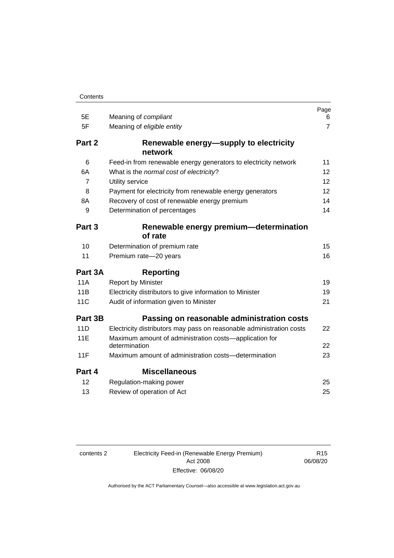| 5E         | Meaning of compliant                                                    | Page<br>6      |
|------------|-------------------------------------------------------------------------|----------------|
| 5F         | Meaning of eligible entity                                              | $\overline{7}$ |
| Part 2     | Renewable energy—supply to electricity<br>network                       |                |
| 6          | Feed-in from renewable energy generators to electricity network         | 11             |
| 6A         | What is the normal cost of electricity?                                 | 12             |
| 7          | Utility service                                                         | 12             |
| 8          | Payment for electricity from renewable energy generators                | 12             |
| 8A         | Recovery of cost of renewable energy premium                            | 14             |
| 9          | Determination of percentages                                            | 14             |
| Part 3     | Renewable energy premium-determination<br>of rate                       |                |
| 10         | Determination of premium rate                                           | 15             |
| 11         | Premium rate-20 years                                                   | 16             |
| Part 3A    | <b>Reporting</b>                                                        |                |
| <b>11A</b> | <b>Report by Minister</b>                                               | 19             |
| 11B        | Electricity distributors to give information to Minister                | 19             |
| <b>11C</b> | Audit of information given to Minister                                  | 21             |
| Part 3B    | Passing on reasonable administration costs                              |                |
| 11D        | Electricity distributors may pass on reasonable administration costs    | 22             |
| 11E        | Maximum amount of administration costs-application for<br>determination | 22             |
| 11F        | Maximum amount of administration costs—determination                    | 23             |
| Part 4     | <b>Miscellaneous</b>                                                    |                |
| 12         | Regulation-making power                                                 | 25             |
| 13         | Review of operation of Act                                              | 25             |

contents 2 Electricity Feed-in (Renewable Energy Premium) Act 2008 Effective: 06/08/20

R15 06/08/20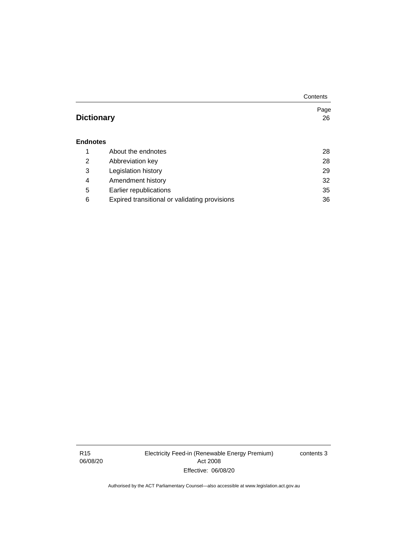|                   |                                               | Contents |
|-------------------|-----------------------------------------------|----------|
|                   |                                               | Page     |
| <b>Dictionary</b> |                                               | 26       |
| <b>Endnotes</b>   |                                               |          |
| 1                 | About the endnotes                            | 28       |
| $\overline{2}$    | Abbreviation key                              | 28       |
| 3                 | Legislation history                           | 29       |
| 4                 | Amendment history                             | 32       |
| 5                 | Earlier republications                        | 35       |
| 6                 | Expired transitional or validating provisions | 36       |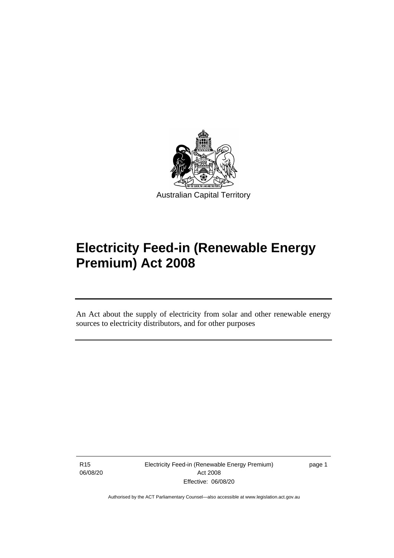

# **Electricity Feed-in (Renewable Energy Premium) Act 2008**

An Act about the supply of electricity from solar and other renewable energy sources to electricity distributors, and for other purposes

R15 06/08/20

֡֡֡

Electricity Feed-in (Renewable Energy Premium) Act 2008 Effective: 06/08/20

page 1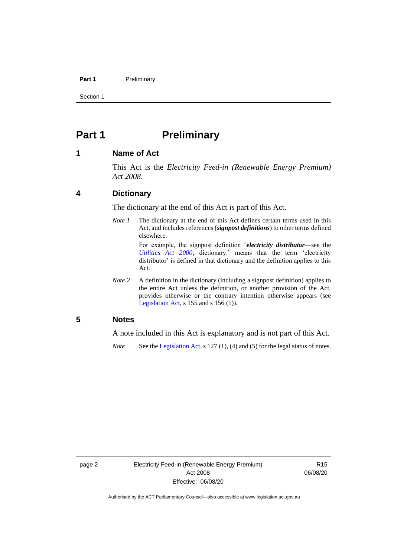#### **Part 1** Preliminary

Section 1

# <span id="page-7-0"></span>**Part 1 Preliminary**

# <span id="page-7-1"></span>**1 Name of Act**

This Act is the *Electricity Feed-in (Renewable Energy Premium) Act 2008*.

# <span id="page-7-2"></span>**4 Dictionary**

The dictionary at the end of this Act is part of this Act.

*Note 1* The dictionary at the end of this Act defines certain terms used in this Act, and includes references (*signpost definitions*) to other terms defined elsewhere.

> For example, the signpost definition '*electricity distributor*—see the *[Utilities Act 2000](http://www.legislation.act.gov.au/a/2000-65)*, dictionary.' means that the term 'electricity distributor' is defined in that dictionary and the definition applies to this Act.

*Note* 2 A definition in the dictionary (including a signpost definition) applies to the entire Act unless the definition, or another provision of the Act, provides otherwise or the contrary intention otherwise appears (see [Legislation Act,](http://www.legislation.act.gov.au/a/2001-14) s 155 and s 156 (1)).

# <span id="page-7-3"></span>**5 Notes**

A note included in this Act is explanatory and is not part of this Act.

*Note* See the [Legislation Act,](http://www.legislation.act.gov.au/a/2001-14) s 127 (1), (4) and (5) for the legal status of notes.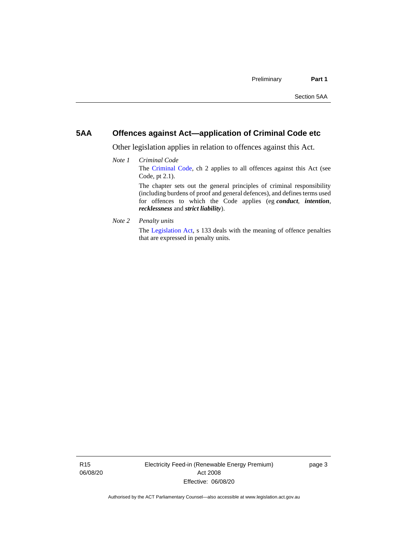# <span id="page-8-0"></span>**5AA Offences against Act—application of Criminal Code etc**

*recklessness* and *strict liability*).

Other legislation applies in relation to offences against this Act.

- *Note 1 Criminal Code* The [Criminal Code,](http://www.legislation.act.gov.au/a/2002-51) ch 2 applies to all offences against this Act (see Code, pt 2.1). The chapter sets out the general principles of criminal responsibility (including burdens of proof and general defences), and defines terms used for offences to which the Code applies (eg *conduct*, *intention*,
- *Note 2 Penalty units*

The [Legislation Act,](http://www.legislation.act.gov.au/a/2001-14) s 133 deals with the meaning of offence penalties that are expressed in penalty units.

R15 06/08/20 Electricity Feed-in (Renewable Energy Premium) Act 2008 Effective: 06/08/20

page 3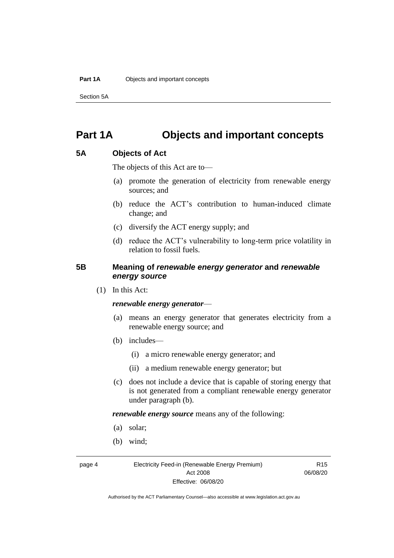Section 5A

# <span id="page-9-0"></span>**Part 1A Objects and important concepts**

# <span id="page-9-1"></span>**5A Objects of Act**

The objects of this Act are to—

- (a) promote the generation of electricity from renewable energy sources; and
- (b) reduce the ACT's contribution to human-induced climate change; and
- (c) diversify the ACT energy supply; and
- (d) reduce the ACT's vulnerability to long-term price volatility in relation to fossil fuels.

# <span id="page-9-2"></span>**5B Meaning of** *renewable energy generator* **and** *renewable energy source*

(1) In this Act:

## *renewable energy generator*—

- (a) means an energy generator that generates electricity from a renewable energy source; and
- (b) includes—
	- (i) a micro renewable energy generator; and
	- (ii) a medium renewable energy generator; but
- (c) does not include a device that is capable of storing energy that is not generated from a compliant renewable energy generator under paragraph (b).

*renewable energy source* means any of the following:

- (a) solar;
- (b) wind;

page 4 Electricity Feed-in (Renewable Energy Premium) Act 2008 Effective: 06/08/20

R15 06/08/20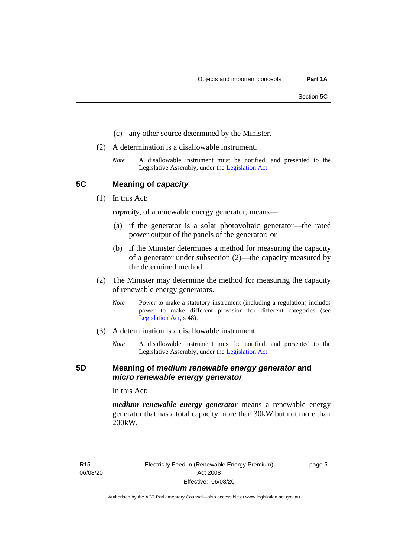- (c) any other source determined by the Minister.
- (2) A determination is a disallowable instrument.
	- *Note* A disallowable instrument must be notified, and presented to the Legislative Assembly, under the [Legislation Act.](http://www.legislation.act.gov.au/a/2001-14)

<span id="page-10-0"></span>**5C Meaning of** *capacity*

(1) In this Act:

*capacity*, of a renewable energy generator, means—

- (a) if the generator is a solar photovoltaic generator—the rated power output of the panels of the generator; or
- (b) if the Minister determines a method for measuring the capacity of a generator under subsection (2)—the capacity measured by the determined method.
- (2) The Minister may determine the method for measuring the capacity of renewable energy generators.
	- *Note* Power to make a statutory instrument (including a regulation) includes power to make different provision for different categories (see [Legislation Act,](http://www.legislation.act.gov.au/a/2001-14) s 48).
- (3) A determination is a disallowable instrument.
	- *Note* A disallowable instrument must be notified, and presented to the Legislative Assembly, under the [Legislation Act.](http://www.legislation.act.gov.au/a/2001-14)

# <span id="page-10-1"></span>**5D Meaning of** *medium renewable energy generator* **and**  *micro renewable energy generator*

In this Act:

*medium renewable energy generator* means a renewable energy generator that has a total capacity more than 30kW but not more than 200kW.

R15 06/08/20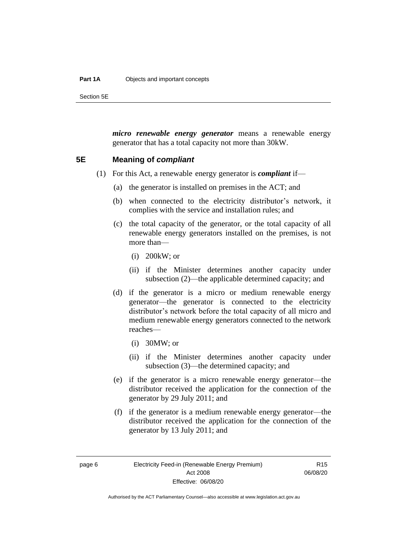#### **Part 1A** Objects and important concepts

Section 5E

*micro renewable energy generator* means a renewable energy generator that has a total capacity not more than 30kW.

## <span id="page-11-0"></span>**5E Meaning of** *compliant*

- (1) For this Act, a renewable energy generator is *compliant* if—
	- (a) the generator is installed on premises in the ACT; and
	- (b) when connected to the electricity distributor's network, it complies with the service and installation rules; and
	- (c) the total capacity of the generator, or the total capacity of all renewable energy generators installed on the premises, is not more than—
		- (i) 200kW; or
		- (ii) if the Minister determines another capacity under subsection (2)—the applicable determined capacity; and
	- (d) if the generator is a micro or medium renewable energy generator—the generator is connected to the electricity distributor's network before the total capacity of all micro and medium renewable energy generators connected to the network reaches—
		- (i) 30MW; or
		- (ii) if the Minister determines another capacity under subsection (3)—the determined capacity; and
	- (e) if the generator is a micro renewable energy generator—the distributor received the application for the connection of the generator by 29 July 2011; and
	- (f) if the generator is a medium renewable energy generator—the distributor received the application for the connection of the generator by 13 July 2011; and

R15 06/08/20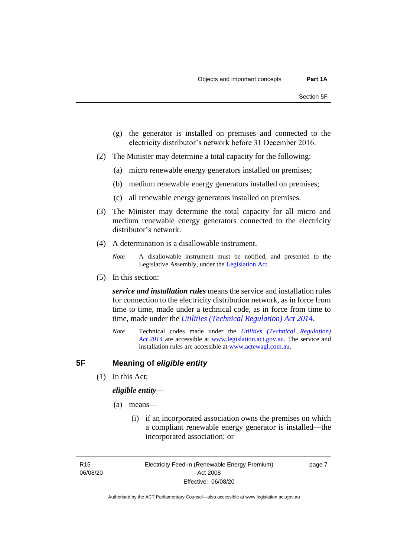- (g) the generator is installed on premises and connected to the electricity distributor's network before 31 December 2016.
- (2) The Minister may determine a total capacity for the following:
	- (a) micro renewable energy generators installed on premises;
	- (b) medium renewable energy generators installed on premises;
	- (c) all renewable energy generators installed on premises.
- (3) The Minister may determine the total capacity for all micro and medium renewable energy generators connected to the electricity distributor's network.
- (4) A determination is a disallowable instrument.

(5) In this section:

*service and installation rules* means the service and installation rules for connection to the electricity distribution network, as in force from time to time, made under a technical code, as in force from time to time, made under the *[Utilities \(Technical Regulation\) Act 2014](http://www.legislation.act.gov.au/a/2014-60/default.asp)*.

*Note* Technical codes made under the *[Utilities \(Technical Regulation\)](http://www.legislation.act.gov.au/a/2014-60/default.asp)  Act [2014](http://www.legislation.act.gov.au/a/2014-60/default.asp)* are accessible at [www.legislation.act.gov.au.](http://www.legislation.act.gov.au/) The service and installation rules are accessible at [www.actewagl.com.au.](http://www.actewagl.com.au/)

# <span id="page-12-0"></span>**5F Meaning of** *eligible entity*

(1) In this Act:

## *eligible entity*—

- (a) means—
	- (i) if an incorporated association owns the premises on which a compliant renewable energy generator is installed—the incorporated association; or

R15 06/08/20 Electricity Feed-in (Renewable Energy Premium) Act 2008 Effective: 06/08/20

page 7

*Note* A disallowable instrument must be notified, and presented to the Legislative Assembly, under the [Legislation Act.](http://www.legislation.act.gov.au/a/2001-14)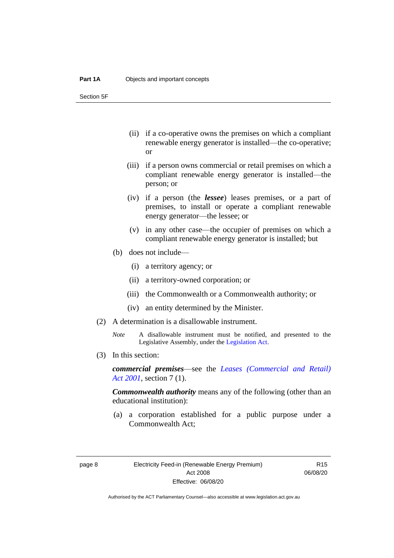Section 5F

- (ii) if a co-operative owns the premises on which a compliant renewable energy generator is installed—the co-operative; or
- (iii) if a person owns commercial or retail premises on which a compliant renewable energy generator is installed—the person; or
- (iv) if a person (the *lessee*) leases premises, or a part of premises, to install or operate a compliant renewable energy generator—the lessee; or
- (v) in any other case—the occupier of premises on which a compliant renewable energy generator is installed; but
- (b) does not include—
	- (i) a territory agency; or
	- (ii) a territory-owned corporation; or
	- (iii) the Commonwealth or a Commonwealth authority; or
	- (iv) an entity determined by the Minister.
- (2) A determination is a disallowable instrument.
	- *Note* A disallowable instrument must be notified, and presented to the Legislative Assembly, under the [Legislation Act.](http://www.legislation.act.gov.au/a/2001-14)
- (3) In this section:

*commercial premises*—see the *[Leases \(Commercial and Retail\)](http://www.legislation.act.gov.au/a/2001-18)  Act [2001](http://www.legislation.act.gov.au/a/2001-18)*, section 7 (1).

*Commonwealth authority* means any of the following (other than an educational institution):

(a) a corporation established for a public purpose under a Commonwealth Act;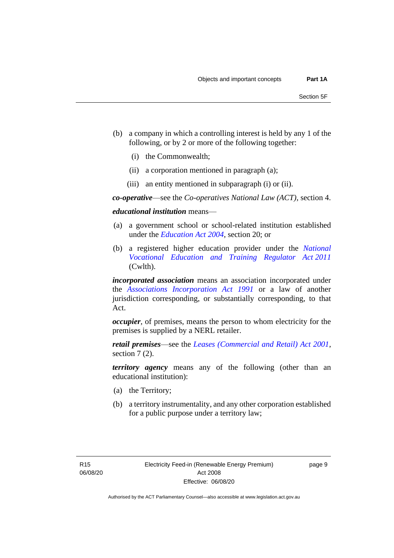- (b) a company in which a controlling interest is held by any 1 of the following, or by 2 or more of the following together:
	- (i) the Commonwealth;
	- (ii) a corporation mentioned in paragraph (a);
	- (iii) an entity mentioned in subparagraph (i) or (ii).

*co-operative*—see the *Co-operatives National Law (ACT)*, section 4.

*educational institution* means—

- (a) a government school or school-related institution established under the *[Education Act 2004](http://www.legislation.act.gov.au/a/2004-17)*, section 20; or
- (b) a registered higher education provider under the *[National](http://www.comlaw.gov.au/Series/C2011A00012)  [Vocational Education and Training Regulator Act](http://www.comlaw.gov.au/Series/C2011A00012) 2011* (Cwlth).

*incorporated association* means an association incorporated under the *[Associations Incorporation Act 1991](http://www.legislation.act.gov.au/a/1991-46)* or a law of another jurisdiction corresponding, or substantially corresponding, to that Act.

*occupier*, of premises, means the person to whom electricity for the premises is supplied by a NERL retailer.

*retail premises*—see the *[Leases \(Commercial and Retail\) Act 2001](http://www.legislation.act.gov.au/a/2001-18)*, section 7 (2).

*territory agency* means any of the following (other than an educational institution):

- (a) the Territory;
- (b) a territory instrumentality, and any other corporation established for a public purpose under a territory law;

R15 06/08/20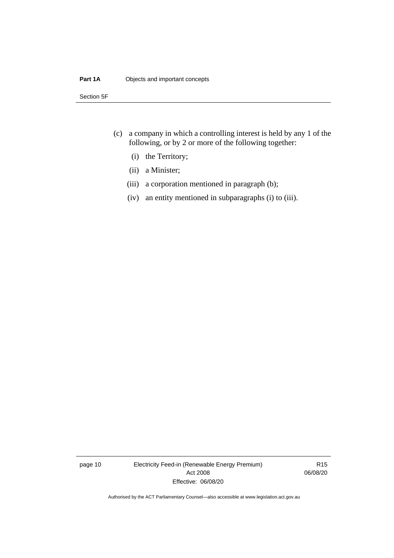## **Part 1A** Objects and important concepts

Section 5F

- (c) a company in which a controlling interest is held by any 1 of the following, or by 2 or more of the following together:
	- (i) the Territory;
	- (ii) a Minister;
	- (iii) a corporation mentioned in paragraph (b);
	- (iv) an entity mentioned in subparagraphs (i) to (iii).

page 10 Electricity Feed-in (Renewable Energy Premium) Act 2008 Effective: 06/08/20

R15 06/08/20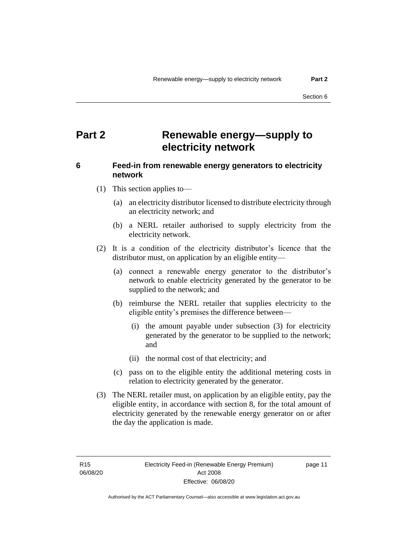# <span id="page-16-0"></span>**Part 2 Renewable energy—supply to electricity network**

# <span id="page-16-1"></span>**6 Feed-in from renewable energy generators to electricity network**

- (1) This section applies to—
	- (a) an electricity distributor licensed to distribute electricity through an electricity network; and
	- (b) a NERL retailer authorised to supply electricity from the electricity network.
- (2) It is a condition of the electricity distributor's licence that the distributor must, on application by an eligible entity—
	- (a) connect a renewable energy generator to the distributor's network to enable electricity generated by the generator to be supplied to the network; and
	- (b) reimburse the NERL retailer that supplies electricity to the eligible entity's premises the difference between—
		- (i) the amount payable under subsection (3) for electricity generated by the generator to be supplied to the network; and
		- (ii) the normal cost of that electricity; and
	- (c) pass on to the eligible entity the additional metering costs in relation to electricity generated by the generator.
- (3) The NERL retailer must, on application by an eligible entity, pay the eligible entity, in accordance with section 8, for the total amount of electricity generated by the renewable energy generator on or after the day the application is made.

R15 06/08/20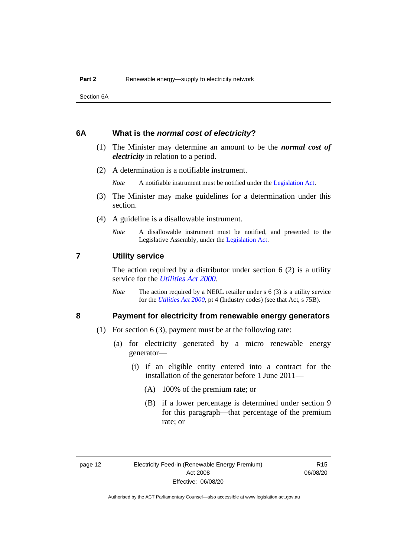Section 6A

## <span id="page-17-0"></span>**6A What is the** *normal cost of electricity***?**

- (1) The Minister may determine an amount to be the *normal cost of electricity* in relation to a period.
- (2) A determination is a notifiable instrument.

*Note* A notifiable instrument must be notified under the [Legislation Act.](http://www.legislation.act.gov.au/a/2001-14)

- (3) The Minister may make guidelines for a determination under this section.
- (4) A guideline is a disallowable instrument.
	- *Note* A disallowable instrument must be notified, and presented to the Legislative Assembly, under the [Legislation Act.](http://www.legislation.act.gov.au/a/2001-14)

# <span id="page-17-1"></span>**7 Utility service**

The action required by a distributor under section  $6(2)$  is a utility service for the *[Utilities Act](http://www.legislation.act.gov.au/a/2000-65) 2000*.

*Note* The action required by a NERL retailer under s 6 (3) is a utility service for the *[Utilities Act](http://www.legislation.act.gov.au/a/2000-65) 2000*, pt 4 (Industry codes) (see that Act, s 75B).

# <span id="page-17-2"></span>**8 Payment for electricity from renewable energy generators**

- (1) For section 6 (3), payment must be at the following rate:
	- (a) for electricity generated by a micro renewable energy generator—
		- (i) if an eligible entity entered into a contract for the installation of the generator before 1 June 2011—
			- (A) 100% of the premium rate; or
			- (B) if a lower percentage is determined under section 9 for this paragraph—that percentage of the premium rate; or

R15 06/08/20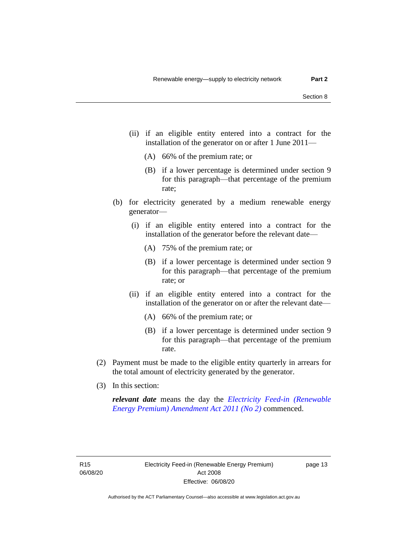- (ii) if an eligible entity entered into a contract for the installation of the generator on or after 1 June 2011—
	- (A) 66% of the premium rate; or
	- (B) if a lower percentage is determined under section 9 for this paragraph—that percentage of the premium rate;
- (b) for electricity generated by a medium renewable energy generator—
	- (i) if an eligible entity entered into a contract for the installation of the generator before the relevant date—
		- (A) 75% of the premium rate; or
		- (B) if a lower percentage is determined under section 9 for this paragraph—that percentage of the premium rate; or
	- (ii) if an eligible entity entered into a contract for the installation of the generator on or after the relevant date—
		- (A) 66% of the premium rate; or
		- (B) if a lower percentage is determined under section 9 for this paragraph—that percentage of the premium rate.
- (2) Payment must be made to the eligible entity quarterly in arrears for the total amount of electricity generated by the generator.
- (3) In this section:

*relevant date* means the day the *[Electricity Feed-in \(Renewable](http://www.legislation.act.gov.au/a/2011-25)  [Energy Premium\) Amendment Act 2011 \(No 2\)](http://www.legislation.act.gov.au/a/2011-25)* commenced.

R15 06/08/20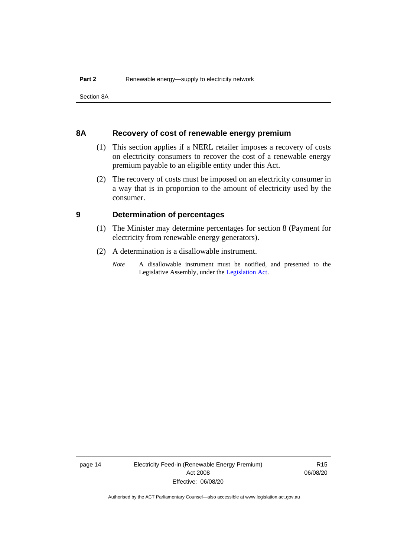Section 8A

# <span id="page-19-0"></span>**8A Recovery of cost of renewable energy premium**

- (1) This section applies if a NERL retailer imposes a recovery of costs on electricity consumers to recover the cost of a renewable energy premium payable to an eligible entity under this Act.
- (2) The recovery of costs must be imposed on an electricity consumer in a way that is in proportion to the amount of electricity used by the consumer.

# <span id="page-19-1"></span>**9 Determination of percentages**

- (1) The Minister may determine percentages for section 8 (Payment for electricity from renewable energy generators).
- (2) A determination is a disallowable instrument.
	- *Note* A disallowable instrument must be notified, and presented to the Legislative Assembly, under the [Legislation Act.](http://www.legislation.act.gov.au/a/2001-14)

page 14 Electricity Feed-in (Renewable Energy Premium) Act 2008 Effective: 06/08/20

R15 06/08/20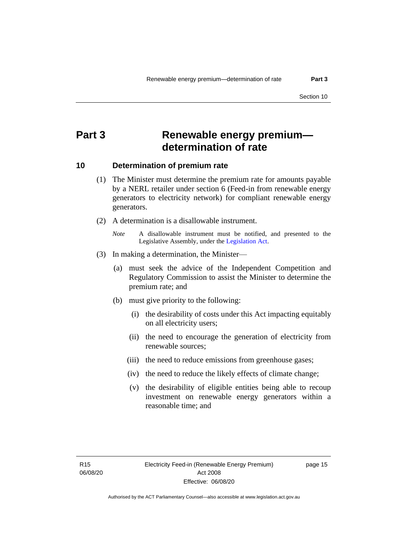# <span id="page-20-0"></span>**Part 3 Renewable energy premium determination of rate**

# <span id="page-20-1"></span>**10 Determination of premium rate**

- (1) The Minister must determine the premium rate for amounts payable by a NERL retailer under section 6 (Feed-in from renewable energy generators to electricity network) for compliant renewable energy generators.
- (2) A determination is a disallowable instrument.
	- *Note* A disallowable instrument must be notified, and presented to the Legislative Assembly, under the [Legislation Act.](http://www.legislation.act.gov.au/a/2001-14)
- (3) In making a determination, the Minister—
	- (a) must seek the advice of the Independent Competition and Regulatory Commission to assist the Minister to determine the premium rate; and
	- (b) must give priority to the following:
		- (i) the desirability of costs under this Act impacting equitably on all electricity users;
		- (ii) the need to encourage the generation of electricity from renewable sources;
		- (iii) the need to reduce emissions from greenhouse gases;
		- (iv) the need to reduce the likely effects of climate change;
		- (v) the desirability of eligible entities being able to recoup investment on renewable energy generators within a reasonable time; and

R15 06/08/20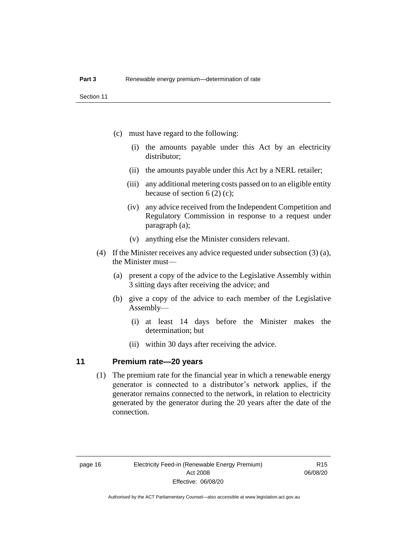- (c) must have regard to the following:
	- (i) the amounts payable under this Act by an electricity distributor;
	- (ii) the amounts payable under this Act by a NERL retailer;
	- (iii) any additional metering costs passed on to an eligible entity because of section 6 (2) (c);
	- (iv) any advice received from the Independent Competition and Regulatory Commission in response to a request under paragraph (a);
	- (v) anything else the Minister considers relevant.
- (4) If the Minister receives any advice requested under subsection (3) (a), the Minister must—
	- (a) present a copy of the advice to the Legislative Assembly within 3 sitting days after receiving the advice; and
	- (b) give a copy of the advice to each member of the Legislative Assembly—
		- (i) at least 14 days before the Minister makes the determination; but
		- (ii) within 30 days after receiving the advice.

## <span id="page-21-0"></span>**11 Premium rate—20 years**

(1) The premium rate for the financial year in which a renewable energy generator is connected to a distributor's network applies, if the generator remains connected to the network, in relation to electricity generated by the generator during the 20 years after the date of the connection.

R15 06/08/20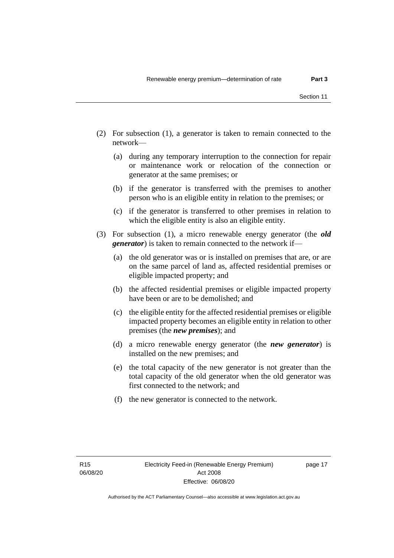- (2) For subsection (1), a generator is taken to remain connected to the network—
	- (a) during any temporary interruption to the connection for repair or maintenance work or relocation of the connection or generator at the same premises; or
	- (b) if the generator is transferred with the premises to another person who is an eligible entity in relation to the premises; or
	- (c) if the generator is transferred to other premises in relation to which the eligible entity is also an eligible entity.
- (3) For subsection (1), a micro renewable energy generator (the *old generator*) is taken to remain connected to the network if—
	- (a) the old generator was or is installed on premises that are, or are on the same parcel of land as, affected residential premises or eligible impacted property; and
	- (b) the affected residential premises or eligible impacted property have been or are to be demolished; and
	- (c) the eligible entity for the affected residential premises or eligible impacted property becomes an eligible entity in relation to other premises (the *new premises*); and
	- (d) a micro renewable energy generator (the *new generator*) is installed on the new premises; and
	- (e) the total capacity of the new generator is not greater than the total capacity of the old generator when the old generator was first connected to the network; and
	- (f) the new generator is connected to the network.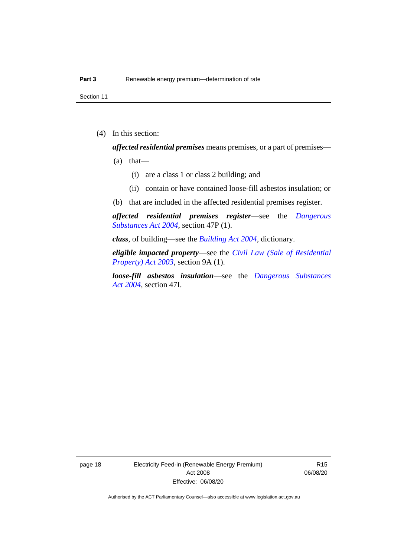Section 11

(4) In this section:

*affected residential premises* means premises, or a part of premises—

- $(a)$  that—
	- (i) are a class 1 or class 2 building; and
	- (ii) contain or have contained loose-fill asbestos insulation; or
- (b) that are included in the affected residential premises register.

*affected residential premises register*—see the *[Dangerous](http://www.legislation.act.gov.au/a/2004-7)  [Substances Act 2004](http://www.legislation.act.gov.au/a/2004-7)*, section 47P (1).

*class*, of building—see the *[Building Act 2004](http://www.legislation.act.gov.au/a/2004-11)*, dictionary.

*eligible impacted property*—see the *[Civil Law \(Sale of Residential](http://www.legislation.act.gov.au/a/2003-40)  [Property\) Act 2003](http://www.legislation.act.gov.au/a/2003-40)*, section 9A (1).

*loose-fill asbestos insulation*—see the *[Dangerous Substances](http://www.legislation.act.gov.au/a/2004-7)  Act [2004](http://www.legislation.act.gov.au/a/2004-7)*, section 47I.

page 18 Electricity Feed-in (Renewable Energy Premium) Act 2008 Effective: 06/08/20

R15 06/08/20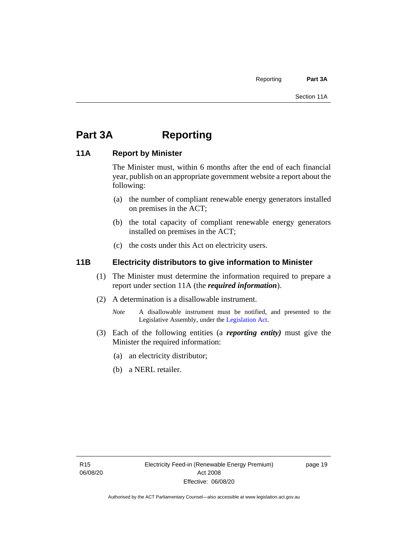# <span id="page-24-0"></span>**Part 3A Reporting**

# <span id="page-24-1"></span>**11A Report by Minister**

The Minister must, within 6 months after the end of each financial year, publish on an appropriate government website a report about the following:

- (a) the number of compliant renewable energy generators installed on premises in the ACT;
- (b) the total capacity of compliant renewable energy generators installed on premises in the ACT;
- (c) the costs under this Act on electricity users.

# <span id="page-24-2"></span>**11B Electricity distributors to give information to Minister**

- (1) The Minister must determine the information required to prepare a report under section 11A (the *required information*).
- (2) A determination is a disallowable instrument.
	- *Note* A disallowable instrument must be notified, and presented to the Legislative Assembly, under the [Legislation Act.](http://www.legislation.act.gov.au/a/2001-14)
- (3) Each of the following entities (a *reporting entity)* must give the Minister the required information:
	- (a) an electricity distributor;
	- (b) a NERL retailer.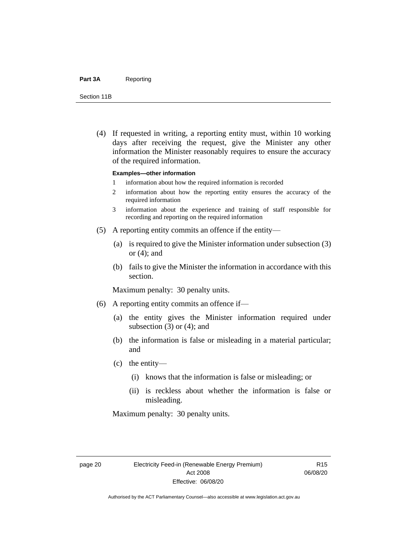#### Part 3A Reporting

Section 11B

(4) If requested in writing, a reporting entity must, within 10 working days after receiving the request, give the Minister any other information the Minister reasonably requires to ensure the accuracy of the required information.

#### **Examples—other information**

- 1 information about how the required information is recorded
- 2 information about how the reporting entity ensures the accuracy of the required information
- 3 information about the experience and training of staff responsible for recording and reporting on the required information
- (5) A reporting entity commits an offence if the entity—
	- (a) is required to give the Minister information under subsection (3) or (4); and
	- (b) fails to give the Minister the information in accordance with this section.

Maximum penalty: 30 penalty units.

- (6) A reporting entity commits an offence if—
	- (a) the entity gives the Minister information required under subsection  $(3)$  or  $(4)$ ; and
	- (b) the information is false or misleading in a material particular; and
	- (c) the entity—
		- (i) knows that the information is false or misleading; or
		- (ii) is reckless about whether the information is false or misleading.

Maximum penalty: 30 penalty units.

R15 06/08/20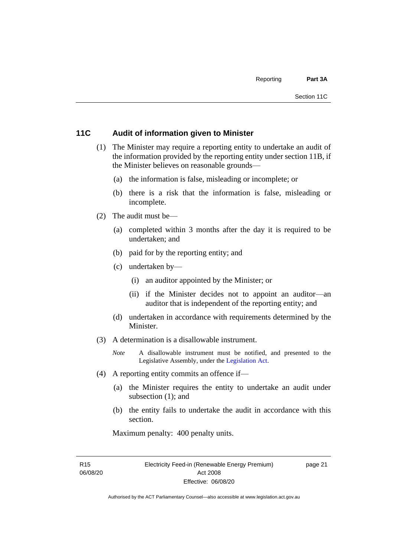# <span id="page-26-0"></span>**11C Audit of information given to Minister**

- (1) The Minister may require a reporting entity to undertake an audit of the information provided by the reporting entity under section 11B, if the Minister believes on reasonable grounds—
	- (a) the information is false, misleading or incomplete; or
	- (b) there is a risk that the information is false, misleading or incomplete.
- (2) The audit must be—
	- (a) completed within 3 months after the day it is required to be undertaken; and
	- (b) paid for by the reporting entity; and
	- (c) undertaken by—
		- (i) an auditor appointed by the Minister; or
		- (ii) if the Minister decides not to appoint an auditor—an auditor that is independent of the reporting entity; and
	- (d) undertaken in accordance with requirements determined by the Minister.
- (3) A determination is a disallowable instrument.
	- *Note* A disallowable instrument must be notified, and presented to the Legislative Assembly, under the [Legislation Act.](http://www.legislation.act.gov.au/a/2001-14)
- (4) A reporting entity commits an offence if—
	- (a) the Minister requires the entity to undertake an audit under subsection (1); and
	- (b) the entity fails to undertake the audit in accordance with this section.

Maximum penalty: 400 penalty units.

R15 06/08/20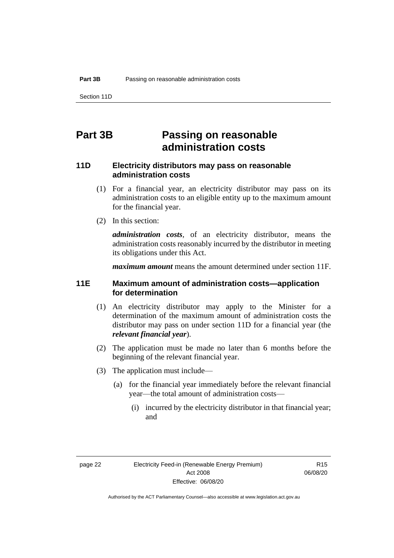Section 11D

# <span id="page-27-0"></span>**Part 3B Passing on reasonable administration costs**

# <span id="page-27-1"></span>**11D Electricity distributors may pass on reasonable administration costs**

- (1) For a financial year, an electricity distributor may pass on its administration costs to an eligible entity up to the maximum amount for the financial year.
- (2) In this section:

*administration costs,* of an electricity distributor, means the administration costs reasonably incurred by the distributor in meeting its obligations under this Act.

*maximum amount* means the amount determined under section 11F.

# <span id="page-27-2"></span>**11E Maximum amount of administration costs—application for determination**

- (1) An electricity distributor may apply to the Minister for a determination of the maximum amount of administration costs the distributor may pass on under section 11D for a financial year (the *relevant financial year*).
- (2) The application must be made no later than 6 months before the beginning of the relevant financial year.
- (3) The application must include—
	- (a) for the financial year immediately before the relevant financial year—the total amount of administration costs—
		- (i) incurred by the electricity distributor in that financial year; and

R15 06/08/20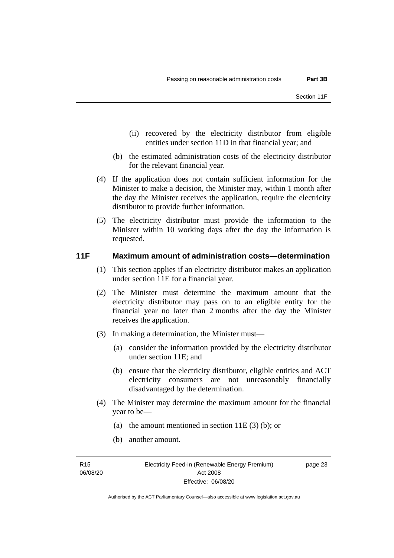- (ii) recovered by the electricity distributor from eligible entities under section 11D in that financial year; and
- (b) the estimated administration costs of the electricity distributor for the relevant financial year.
- (4) If the application does not contain sufficient information for the Minister to make a decision, the Minister may, within 1 month after the day the Minister receives the application, require the electricity distributor to provide further information.
- (5) The electricity distributor must provide the information to the Minister within 10 working days after the day the information is requested.

## <span id="page-28-0"></span>**11F Maximum amount of administration costs—determination**

- (1) This section applies if an electricity distributor makes an application under section 11E for a financial year.
- (2) The Minister must determine the maximum amount that the electricity distributor may pass on to an eligible entity for the financial year no later than 2 months after the day the Minister receives the application.
- (3) In making a determination, the Minister must—
	- (a) consider the information provided by the electricity distributor under section 11E; and
	- (b) ensure that the electricity distributor, eligible entities and ACT electricity consumers are not unreasonably financially disadvantaged by the determination.
- (4) The Minister may determine the maximum amount for the financial year to be—
	- (a) the amount mentioned in section  $11E(3)$  (b); or
	- (b) another amount.

**R15** 06/08/20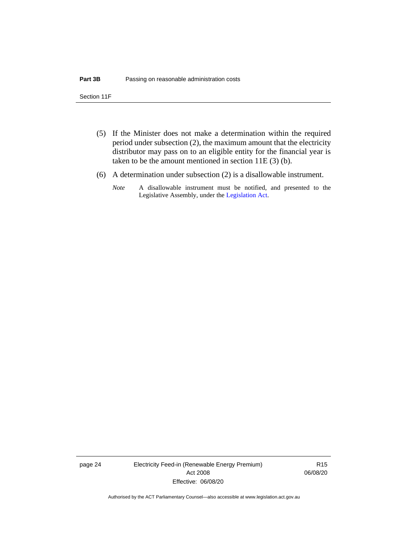Section 11F

- (5) If the Minister does not make a determination within the required period under subsection (2), the maximum amount that the electricity distributor may pass on to an eligible entity for the financial year is taken to be the amount mentioned in section 11E (3) (b).
- (6) A determination under subsection (2) is a disallowable instrument.
	- *Note* A disallowable instrument must be notified, and presented to the Legislative Assembly, under the [Legislation Act.](http://www.legislation.act.gov.au/a/2001-14)

page 24 Electricity Feed-in (Renewable Energy Premium) Act 2008 Effective: 06/08/20

R15 06/08/20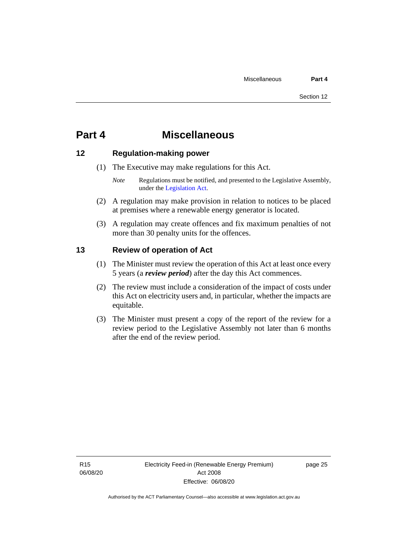# <span id="page-30-0"></span>**Part 4 Miscellaneous**

# <span id="page-30-1"></span>**12 Regulation-making power**

- (1) The Executive may make regulations for this Act.
	- *Note* Regulations must be notified, and presented to the Legislative Assembly, under the [Legislation Act.](http://www.legislation.act.gov.au/a/2001-14)
- (2) A regulation may make provision in relation to notices to be placed at premises where a renewable energy generator is located.
- (3) A regulation may create offences and fix maximum penalties of not more than 30 penalty units for the offences.

# <span id="page-30-2"></span>**13 Review of operation of Act**

- (1) The Minister must review the operation of this Act at least once every 5 years (a *review period*) after the day this Act commences.
- (2) The review must include a consideration of the impact of costs under this Act on electricity users and, in particular, whether the impacts are equitable.
- (3) The Minister must present a copy of the report of the review for a review period to the Legislative Assembly not later than 6 months after the end of the review period.

R15 06/08/20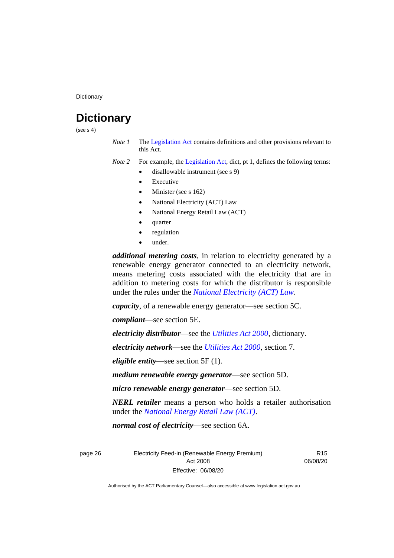**Dictionary** 

# <span id="page-31-0"></span>**Dictionary**

(see  $s$  4)

*Note 1* The [Legislation Act](http://www.legislation.act.gov.au/a/2001-14) contains definitions and other provisions relevant to this Act.

*Note 2* For example, the [Legislation Act,](http://www.legislation.act.gov.au/a/2001-14) dict, pt 1, defines the following terms:

- disallowable instrument (see s 9)
	- **Executive**
	- Minister (see s 162)
	- National Electricity (ACT) Law
	- National Energy Retail Law (ACT)
	- quarter
	- regulation
	- under.

*additional metering costs*, in relation to electricity generated by a renewable energy generator connected to an electricity network, means metering costs associated with the electricity that are in addition to metering costs for which the distributor is responsible under the rules under the *[National Electricity \(ACT\) Law](http://www.legislation.act.gov.au/a/1997-79/default.asp)*.

*capacity*, of a renewable energy generator—see section 5C.

*compliant*—see section 5E.

*electricity distributor*—see the *[Utilities Act 2000](http://www.legislation.act.gov.au/a/2000-65)*, dictionary.

*electricity network*—see the *[Utilities Act 2000](http://www.legislation.act.gov.au/a/2000-65)*, section 7.

*eligible entity—*see section 5F (1).

*medium renewable energy generator*—see section 5D.

*micro renewable energy generator*—see section 5D.

*NERL retailer* means a person who holds a retailer authorisation under the *[National Energy Retail Law \(ACT\)](http://www.legislation.act.gov.au/a/2012-31/default.asp)*.

*normal cost of electricity*—see section 6A.

page 26 Electricity Feed-in (Renewable Energy Premium) Act 2008 Effective: 06/08/20

R15 06/08/20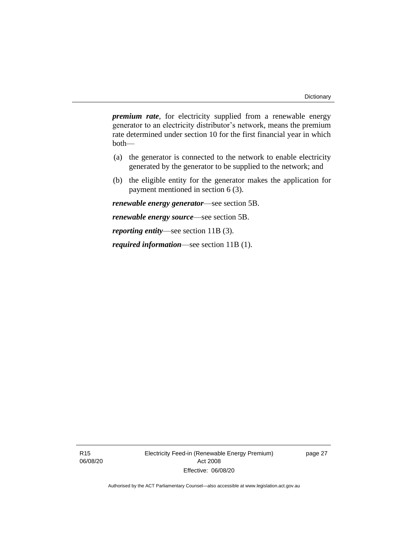*premium rate*, for electricity supplied from a renewable energy generator to an electricity distributor's network, means the premium rate determined under section 10 for the first financial year in which both—

- (a) the generator is connected to the network to enable electricity generated by the generator to be supplied to the network; and
- (b) the eligible entity for the generator makes the application for payment mentioned in section 6 (3).

*renewable energy generator*—see section 5B.

*renewable energy source*—see section 5B.

*reporting entity*—see section 11B (3).

*required information*—see section 11B (1).

R15 06/08/20 Electricity Feed-in (Renewable Energy Premium) Act 2008 Effective: 06/08/20

page 27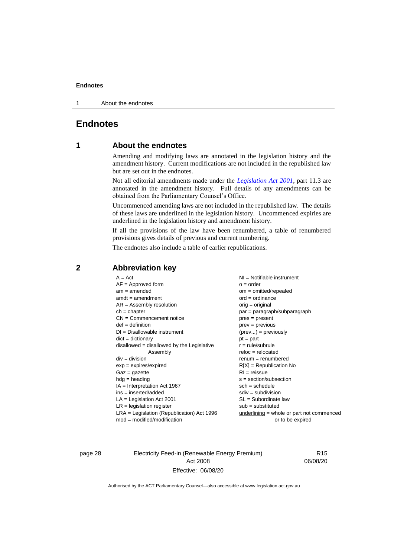1 About the endnotes

# <span id="page-33-1"></span><span id="page-33-0"></span>**Endnotes**

# **1 About the endnotes**

Amending and modifying laws are annotated in the legislation history and the amendment history. Current modifications are not included in the republished law but are set out in the endnotes.

Not all editorial amendments made under the *[Legislation Act 2001](http://www.legislation.act.gov.au/a/2001-14)*, part 11.3 are annotated in the amendment history. Full details of any amendments can be obtained from the Parliamentary Counsel's Office.

Uncommenced amending laws are not included in the republished law. The details of these laws are underlined in the legislation history. Uncommenced expiries are underlined in the legislation history and amendment history.

If all the provisions of the law have been renumbered, a table of renumbered provisions gives details of previous and current numbering.

The endnotes also include a table of earlier republications.

| $A = Act$<br>$AF =$ Approved form<br>$am = amended$<br>$amdt = amendment$<br>$AR = Assembly resolution$<br>$ch = chapter$<br>$CN =$ Commencement notice<br>$def = definition$<br>$DI = Disallowable instrument$<br>$dict = dictionary$<br>$disallowed = disallowed by the Legislative$<br>Assembly<br>$div = division$<br>$exp = expires/expired$<br>$Gaz = gazette$<br>$h dq =$ heading<br>$IA = Interpretation Act 1967$<br>$ins = inserted/added$<br>$LA =$ Legislation Act 2001 | $NI =$ Notifiable instrument<br>$o = order$<br>$om = omitted/repealed$<br>$ord = ordinance$<br>$orig = original$<br>par = paragraph/subparagraph<br>$pres = present$<br>$prev = previous$<br>$(\text{prev}) = \text{previously}$<br>$pt = part$<br>$r = rule/subrule$<br>$reloc = relocated$<br>$renum = renumbered$<br>$R[X]$ = Republication No<br>$RI = reissue$<br>$s = section/subsection$<br>$sch = schedule$<br>$sdiv = subdivision$<br>$SL = Subordinate$ law |
|-------------------------------------------------------------------------------------------------------------------------------------------------------------------------------------------------------------------------------------------------------------------------------------------------------------------------------------------------------------------------------------------------------------------------------------------------------------------------------------|-----------------------------------------------------------------------------------------------------------------------------------------------------------------------------------------------------------------------------------------------------------------------------------------------------------------------------------------------------------------------------------------------------------------------------------------------------------------------|
|                                                                                                                                                                                                                                                                                                                                                                                                                                                                                     |                                                                                                                                                                                                                                                                                                                                                                                                                                                                       |
| $LR =$ legislation register                                                                                                                                                                                                                                                                                                                                                                                                                                                         | $sub =$ substituted                                                                                                                                                                                                                                                                                                                                                                                                                                                   |
| $LRA =$ Legislation (Republication) Act 1996                                                                                                                                                                                                                                                                                                                                                                                                                                        | $underlining = whole or part not commenced$                                                                                                                                                                                                                                                                                                                                                                                                                           |
| $mod = modified/modification$                                                                                                                                                                                                                                                                                                                                                                                                                                                       | or to be expired                                                                                                                                                                                                                                                                                                                                                                                                                                                      |
|                                                                                                                                                                                                                                                                                                                                                                                                                                                                                     |                                                                                                                                                                                                                                                                                                                                                                                                                                                                       |

# <span id="page-33-2"></span>**2 Abbreviation key**

page 28 Electricity Feed-in (Renewable Energy Premium) Act 2008 Effective: 06/08/20

R15 06/08/20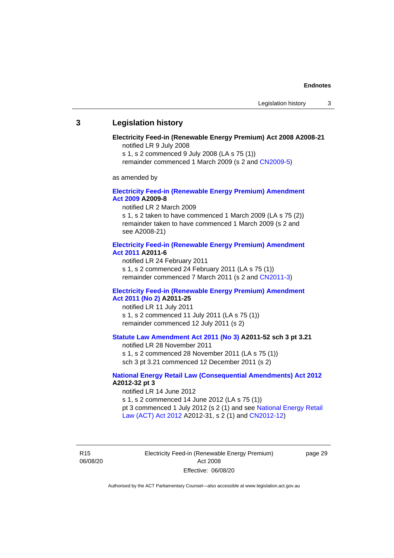### <span id="page-34-0"></span>**3 Legislation history**

#### **Electricity Feed-in (Renewable Energy Premium) Act 2008 A2008-21** notified LR 9 July 2008

s 1, s 2 commenced 9 July 2008 (LA s 75 (1))

remainder commenced 1 March 2009 (s 2 and [CN2009-5\)](http://www.legislation.act.gov.au/cn/2009-5/default.asp)

as amended by

#### **[Electricity Feed-in \(Renewable Energy Premium\) Amendment](http://www.legislation.act.gov.au/a/2009-8)  Act [2009](http://www.legislation.act.gov.au/a/2009-8) A2009-8**

notified LR 2 March 2009

s 1, s 2 taken to have commenced 1 March 2009 (LA s 75 (2)) remainder taken to have commenced 1 March 2009 (s 2 and see A2008-21)

#### **[Electricity Feed-in \(Renewable Energy Premium\) Amendment](http://www.legislation.act.gov.au/a/2011-6)  Act [2011](http://www.legislation.act.gov.au/a/2011-6) A2011-6**

notified LR 24 February 2011 s 1, s 2 commenced 24 February 2011 (LA s 75 (1)) remainder commenced 7 March 2011 (s 2 and [CN2011-3\)](http://www.legislation.act.gov.au/cn/2011-3/default.asp)

#### **[Electricity Feed-in \(Renewable Energy Premium\) Amendment](http://www.legislation.act.gov.au/a/2011-25)  Act [2011 \(No 2\)](http://www.legislation.act.gov.au/a/2011-25) A2011-25**

notified LR 11 July 2011 s 1, s 2 commenced 11 July 2011 (LA s 75 (1)) remainder commenced 12 July 2011 (s 2)

## **[Statute Law Amendment Act 2011 \(No](http://www.legislation.act.gov.au/a/2011-52) 3) A2011-52 sch 3 pt 3.21**

notified LR 28 November 2011 s 1, s 2 commenced 28 November 2011 (LA s 75 (1)) sch 3 pt 3.21 commenced 12 December 2011 (s 2)

#### **[National Energy Retail Law \(Consequential Amendments\) Act 2012](http://www.legislation.act.gov.au/a/2012-32) A2012-32 pt 3**

notified LR 14 June 2012

s 1, s 2 commenced 14 June 2012 (LA s 75 (1)) pt 3 commenced 1 July 2012 (s 2 (1) and see [National Energy Retail](http://www.legislation.act.gov.au/a/2012-31)  [Law \(ACT\) Act](http://www.legislation.act.gov.au/a/2012-31) 2012 A2012-31, s 2 (1) and [CN2012-12\)](http://www.legislation.act.gov.au/cn/2012-12/default.asp)

R15 06/08/20 Electricity Feed-in (Renewable Energy Premium) Act 2008 Effective: 06/08/20

page 29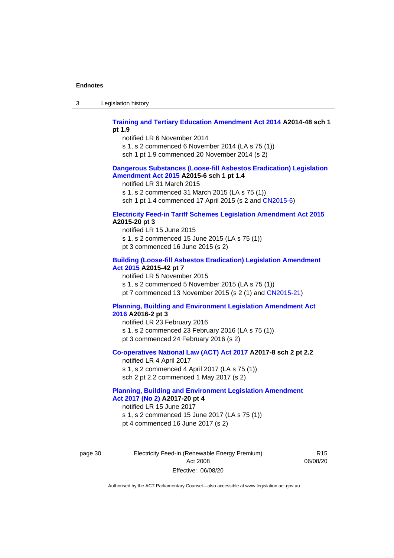3 Legislation history

#### **[Training and Tertiary Education Amendment Act 2014](http://www.legislation.act.gov.au/a/2014-48) A2014-48 sch 1 pt 1.9**

notified LR 6 November 2014

s 1, s 2 commenced 6 November 2014 (LA s 75 (1))

sch 1 pt 1.9 commenced 20 November 2014 (s 2)

## **[Dangerous Substances \(Loose-fill Asbestos Eradication\) Legislation](http://www.legislation.act.gov.au/a/2015-6/default.asp)  [Amendment Act 2015](http://www.legislation.act.gov.au/a/2015-6/default.asp) A2015-6 sch 1 pt 1.4**

notified LR 31 March 2015

s 1, s 2 commenced 31 March 2015 (LA s 75 (1))

sch 1 pt 1.4 commenced 17 April 2015 (s 2 and [CN2015-6\)](http://www.legislation.act.gov.au/cn/2015-6/default.asp)

## **[Electricity Feed-in Tariff Schemes Legislation Amendment Act 2015](http://www.legislation.act.gov.au/a/2015-20/default.asp) A2015-20 pt 3**

notified LR 15 June 2015 s 1, s 2 commenced 15 June 2015 (LA s 75 (1)) pt 3 commenced 16 June 2015 (s 2)

### **[Building \(Loose-fill Asbestos Eradication\) Legislation Amendment](http://www.legislation.act.gov.au/a/2015-42/default.asp)  [Act 2015](http://www.legislation.act.gov.au/a/2015-42/default.asp) A2015-42 pt 7**

notified LR 5 November 2015

s 1, s 2 commenced 5 November 2015 (LA s 75 (1))

pt 7 commenced 13 November 2015 (s 2 (1) and [CN2015-21\)](http://www.legislation.act.gov.au/cn/2015-21/default.asp)

#### **[Planning, Building and Environment Legislation Amendment Act](http://www.legislation.act.gov.au/a/2016-2/default.asp)  [2016](http://www.legislation.act.gov.au/a/2016-2/default.asp) A2016-2 pt 3**

notified LR 23 February 2016 s 1, s 2 commenced 23 February 2016 (LA s 75 (1)) pt 3 commenced 24 February 2016 (s 2)

### **[Co-operatives National Law \(ACT\) Act 2017](http://www.legislation.act.gov.au/a/2017-8/default.asp) A2017-8 sch 2 pt 2.2**

notified LR 4 April 2017 s 1, s 2 commenced 4 April 2017 (LA s 75 (1)) sch 2 pt 2.2 commenced 1 May 2017 (s 2)

# **[Planning, Building and Environment Legislation Amendment](http://www.legislation.act.gov.au/a/2017-20/default.asp)  Act 2017 [\(No 2\)](http://www.legislation.act.gov.au/a/2017-20/default.asp) A2017-20 pt 4**

notified LR 15 June 2017 s 1, s 2 commenced 15 June 2017 (LA s 75 (1)) pt 4 commenced 16 June 2017 (s 2)

page 30 Electricity Feed-in (Renewable Energy Premium) Act 2008 Effective: 06/08/20

R15 06/08/20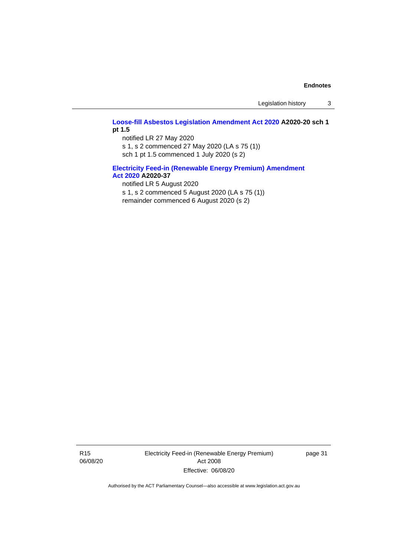Legislation history 3

#### **[Loose-fill Asbestos Legislation Amendment Act 2020](http://www.legislation.act.gov.au/a/2020-20/default.asp) A2020-20 sch 1 pt 1.5**

notified LR 27 May 2020

s 1, s 2 commenced 27 May 2020 (LA s 75 (1)) sch 1 pt 1.5 commenced 1 July 2020 (s 2)

## **[Electricity Feed-in \(Renewable Energy Premium\) Amendment](http://www.legislation.act.gov.au/a/2020-37)  Act [2020](http://www.legislation.act.gov.au/a/2020-37) A2020-37**

notified LR 5 August 2020

s 1, s 2 commenced 5 August 2020 (LA s 75 (1)) remainder commenced 6 August 2020 (s 2)

R15 06/08/20 Electricity Feed-in (Renewable Energy Premium) Act 2008 Effective: 06/08/20

page 31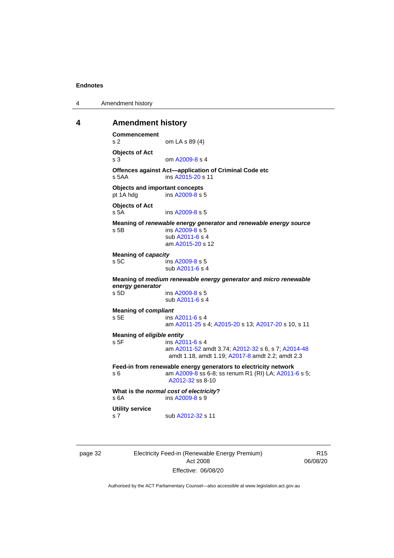4 Amendment history

#### <span id="page-37-0"></span>**4 Amendment history**

```
Commencement
s 2 om LA s 89 (4)
Objects of Act
 A2009-8 s 4
Offences against Act—application of Criminal Code etc<br>s 5AA ins A2015-20 s 11
                A2015-20 s 11
Objects and important concepts
pt 1A hdg ins A2009-8 s 5
Objects of Act
s 5A ins A2009-8 s 5
Meaning of renewable energy generator and renewable energy source
s 5B ins A2009-8 s 5
               sub A2011-6 s 4
               am A2015-20 s 12
Meaning of capacity
 A2009-8 s 5
               sub A2011-6 s 4
Meaning of medium renewable energy generator and micro renewable 
energy generator
                A2009-8 s 5
               sub A2011-6 s 4
Meaning of compliant
s 5E ins A2011-6 s 4
               am A2011-25 s 4; A2015-20 s 13; A2017-20 s 10, s 11
Meaning of eligible entity
s 5F ins A2011-6 s 4
               am A2011-52 amdt 3.74; A2012-32 s 6, s 7; A2014-48
                amdt 1.18, amdt 1.19; A2017-8 amdt 2.2; amdt 2.3
Feed-in from renewable energy generators to electricity network
s 6 A2009-8 A2011-6 s 5;
                A2012-32 ss 8-10
What is the normal cost of electricity?
 A2009-8 s 9
Utility service
 A2012-32 s 11
```
page 32 Electricity Feed-in (Renewable Energy Premium) Act 2008 Effective: 06/08/20

R15 06/08/20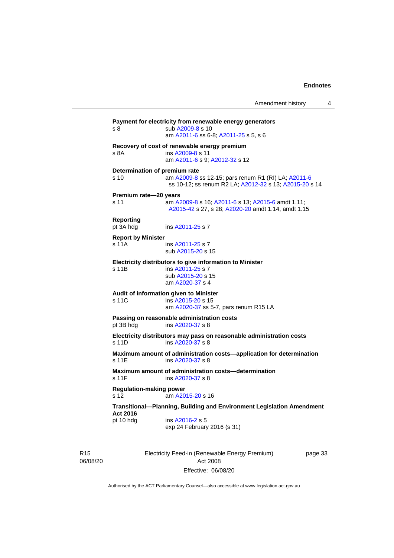| Recovery of cost of renewable energy premium<br>$s$ $8A$<br>ins A2009-8 s 11<br>am A2011-6 s 9; A2012-32 s 12<br>Determination of premium rate<br>s 10<br>am A2009-8 ss 12-15; pars renum R1 (RI) LA; A2011-6<br>Premium rate-20 years<br>s 11<br>am A2009-8 s 16; A2011-6 s 13; A2015-6 amdt 1.11;<br>A2015-42 s 27, s 28; A2020-20 amdt 1.14, amdt 1.15<br><b>Reporting</b><br>pt 3A hdg<br>ins A2011-25 s 7<br><b>Report by Minister</b><br>s 11A<br>ins A2011-25 s 7<br>sub A2015-20 s 15<br>Electricity distributors to give information to Minister<br>ins A2011-25 s 7<br>s 11B<br>sub A2015-20 s 15<br>am A2020-37 s 4<br>Audit of information given to Minister<br>$s$ 11 $C$<br>ins A2015-20 s 15<br>am A2020-37 ss 5-7, pars renum R15 LA<br>Passing on reasonable administration costs<br>pt 3B hdg<br>ins A2020-37 s 8<br>Electricity distributors may pass on reasonable administration costs<br>s 11D<br>ins A2020-37 s 8<br>Maximum amount of administration costs-application for determination<br>s 11E<br>ins A2020-37 s 8<br>Maximum amount of administration costs-determination<br>ins A2020-37 s 8<br>s 11F<br><b>Regulation-making power</b><br>s <sub>12</sub><br>am A2015-20 s 16<br>Transitional-Planning, Building and Environment Legislation Amendment<br>Act 2016<br>ins A2016-2 s 5 | s 8       | Payment for electricity from renewable energy generators<br>sub A2009-8 s 10<br>am A2011-6 ss 6-8; A2011-25 s 5, s 6 |
|---------------------------------------------------------------------------------------------------------------------------------------------------------------------------------------------------------------------------------------------------------------------------------------------------------------------------------------------------------------------------------------------------------------------------------------------------------------------------------------------------------------------------------------------------------------------------------------------------------------------------------------------------------------------------------------------------------------------------------------------------------------------------------------------------------------------------------------------------------------------------------------------------------------------------------------------------------------------------------------------------------------------------------------------------------------------------------------------------------------------------------------------------------------------------------------------------------------------------------------------------------------------------------------------------------------------|-----------|----------------------------------------------------------------------------------------------------------------------|
|                                                                                                                                                                                                                                                                                                                                                                                                                                                                                                                                                                                                                                                                                                                                                                                                                                                                                                                                                                                                                                                                                                                                                                                                                                                                                                                     |           |                                                                                                                      |
|                                                                                                                                                                                                                                                                                                                                                                                                                                                                                                                                                                                                                                                                                                                                                                                                                                                                                                                                                                                                                                                                                                                                                                                                                                                                                                                     |           | ss 10-12; ss renum R2 LA; A2012-32 s 13; A2015-20 s 14                                                               |
|                                                                                                                                                                                                                                                                                                                                                                                                                                                                                                                                                                                                                                                                                                                                                                                                                                                                                                                                                                                                                                                                                                                                                                                                                                                                                                                     |           |                                                                                                                      |
|                                                                                                                                                                                                                                                                                                                                                                                                                                                                                                                                                                                                                                                                                                                                                                                                                                                                                                                                                                                                                                                                                                                                                                                                                                                                                                                     |           |                                                                                                                      |
|                                                                                                                                                                                                                                                                                                                                                                                                                                                                                                                                                                                                                                                                                                                                                                                                                                                                                                                                                                                                                                                                                                                                                                                                                                                                                                                     |           |                                                                                                                      |
|                                                                                                                                                                                                                                                                                                                                                                                                                                                                                                                                                                                                                                                                                                                                                                                                                                                                                                                                                                                                                                                                                                                                                                                                                                                                                                                     |           |                                                                                                                      |
|                                                                                                                                                                                                                                                                                                                                                                                                                                                                                                                                                                                                                                                                                                                                                                                                                                                                                                                                                                                                                                                                                                                                                                                                                                                                                                                     |           |                                                                                                                      |
|                                                                                                                                                                                                                                                                                                                                                                                                                                                                                                                                                                                                                                                                                                                                                                                                                                                                                                                                                                                                                                                                                                                                                                                                                                                                                                                     |           |                                                                                                                      |
|                                                                                                                                                                                                                                                                                                                                                                                                                                                                                                                                                                                                                                                                                                                                                                                                                                                                                                                                                                                                                                                                                                                                                                                                                                                                                                                     |           |                                                                                                                      |
|                                                                                                                                                                                                                                                                                                                                                                                                                                                                                                                                                                                                                                                                                                                                                                                                                                                                                                                                                                                                                                                                                                                                                                                                                                                                                                                     |           |                                                                                                                      |
|                                                                                                                                                                                                                                                                                                                                                                                                                                                                                                                                                                                                                                                                                                                                                                                                                                                                                                                                                                                                                                                                                                                                                                                                                                                                                                                     |           |                                                                                                                      |
|                                                                                                                                                                                                                                                                                                                                                                                                                                                                                                                                                                                                                                                                                                                                                                                                                                                                                                                                                                                                                                                                                                                                                                                                                                                                                                                     |           |                                                                                                                      |
| exp 24 February 2016 (s 31)                                                                                                                                                                                                                                                                                                                                                                                                                                                                                                                                                                                                                                                                                                                                                                                                                                                                                                                                                                                                                                                                                                                                                                                                                                                                                         | pt 10 hdg |                                                                                                                      |

R15 06/08/20 Electricity Feed-in (Renewable Energy Premium) Act 2008 Effective: 06/08/20

page 33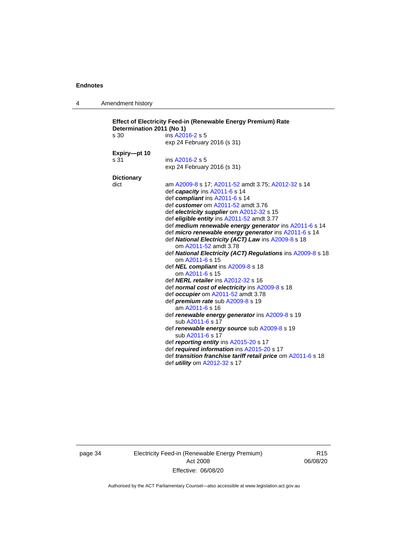4 Amendment history

| s 30              | ins A2016-2 s 5                                              |
|-------------------|--------------------------------------------------------------|
|                   | exp 24 February 2016 (s 31)                                  |
| Expiry-pt 10      |                                                              |
| s 31              | ins A2016-2 s 5                                              |
|                   | exp 24 February 2016 (s 31)                                  |
| <b>Dictionary</b> |                                                              |
| dict              | am A2009-8 s 17; A2011-52 amdt 3.75; A2012-32 s 14           |
|                   | def capacity ins A2011-6 s 14                                |
|                   | def compliant ins A2011-6 s 14                               |
|                   | def customer om A2011-52 amdt 3.76                           |
|                   | def electricity supplier om A2012-32 s 15                    |
|                   | def eligible entity ins A2011-52 amdt 3.77                   |
|                   | def medium renewable energy generator ins A2011-6 s 14       |
|                   | def micro renewable energy generator ins A2011-6 s 14        |
|                   | def National Electricity (ACT) Law ins A2009-8 s 18          |
|                   | om A2011-52 amdt 3.78                                        |
|                   | def National Electricity (ACT) Regulations ins A2009-8 s 18  |
|                   | om A2011-6 s 15                                              |
|                   | def NEL compliant ins A2009-8 s 18                           |
|                   | om A2011-6 s 15                                              |
|                   | def <b>NERL retailer</b> ins A2012-32 s 16                   |
|                   | def normal cost of electricity ins A2009-8 s 18              |
|                   | def occupier om A2011-52 amdt 3.78                           |
|                   | def <i>premium rate</i> sub A2009-8 s 19<br>am A2011-6 s 16  |
|                   | def renewable energy generator ins A2009-8 s 19              |
|                   | sub A2011-6 s 17                                             |
|                   | def renewable energy source sub A2009-8 s 19                 |
|                   | sub A2011-6 s 17                                             |
|                   | def reporting entity ins A2015-20 s 17                       |
|                   | def required information ins A2015-20 s 17                   |
|                   | def transition franchise tariff retail price om A2011-6 s 18 |
|                   | def <i>utility</i> om A2012-32 s 17                          |

page 34 Electricity Feed-in (Renewable Energy Premium) Act 2008 Effective: 06/08/20

R15 06/08/20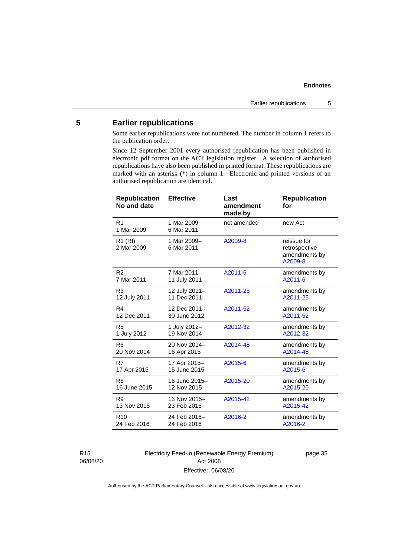# <span id="page-40-0"></span>**5 Earlier republications**

Some earlier republications were not numbered. The number in column 1 refers to the publication order.

Since 12 September 2001 every authorised republication has been published in electronic pdf format on the ACT legislation register. A selection of authorised republications have also been published in printed format. These republications are marked with an asterisk (\*) in column 1. Electronic and printed versions of an authorised republication are identical.

| <b>Republication</b><br>No and date | <b>Effective</b>          | Last<br>amendment<br>made by | <b>Republication</b><br>for                              |
|-------------------------------------|---------------------------|------------------------------|----------------------------------------------------------|
| R <sub>1</sub><br>1 Mar 2009        | 1 Mar 2009<br>6 Mar 2011  | not amended                  | new Act                                                  |
| $R1$ (RI)<br>2 Mar 2009             | 1 Mar 2009-<br>6 Mar 2011 | A2009-8                      | reissue for<br>retrospective<br>amendments by<br>A2009-8 |
| R <sub>2</sub>                      | 7 Mar 2011-               | A2011-6                      | amendments by                                            |
| 7 Mar 2011                          | 11 July 2011              |                              | A2011-6                                                  |
| R <sub>3</sub>                      | 12 July 2011-             | A2011-25                     | amendments by                                            |
| 12 July 2011                        | 11 Dec 2011               |                              | A2011-25                                                 |
| R4                                  | 12 Dec 2011-              | A2011-52                     | amendments by                                            |
| 12 Dec 2011                         | 30 June 2012              |                              | A2011-52                                                 |
| R <sub>5</sub>                      | 1 July 2012-              | A2012-32                     | amendments by                                            |
| 1 July 2012                         | 19 Nov 2014               |                              | A2012-32                                                 |
| R <sub>6</sub>                      | 20 Nov 2014-              | A2014-48                     | amendments by                                            |
| 20 Nov 2014                         | 16 Apr 2015               |                              | A2014-48                                                 |
| R7                                  | 17 Apr 2015-              | A2015-6                      | amendments by                                            |
| 17 Apr 2015                         | 15 June 2015              |                              | A2015-6                                                  |
| R <sub>8</sub>                      | 16 June 2015-             | A2015-20                     | amendments by                                            |
| 16 June 2015                        | 12 Nov 2015               |                              | A2015-20                                                 |
| R <sub>9</sub>                      | 13 Nov 2015-              | A2015-42                     | amendments by                                            |
| 13 Nov 2015                         | 23 Feb 2016               |                              | A2015-42                                                 |
| R <sub>10</sub>                     | 24 Feb 2016-              | A2016-2                      | amendments by                                            |
| 24 Feb 2016                         | 24 Feb 2016               |                              | A2016-2                                                  |

R15 06/08/20 Electricity Feed-in (Renewable Energy Premium) Act 2008 Effective: 06/08/20

page 35